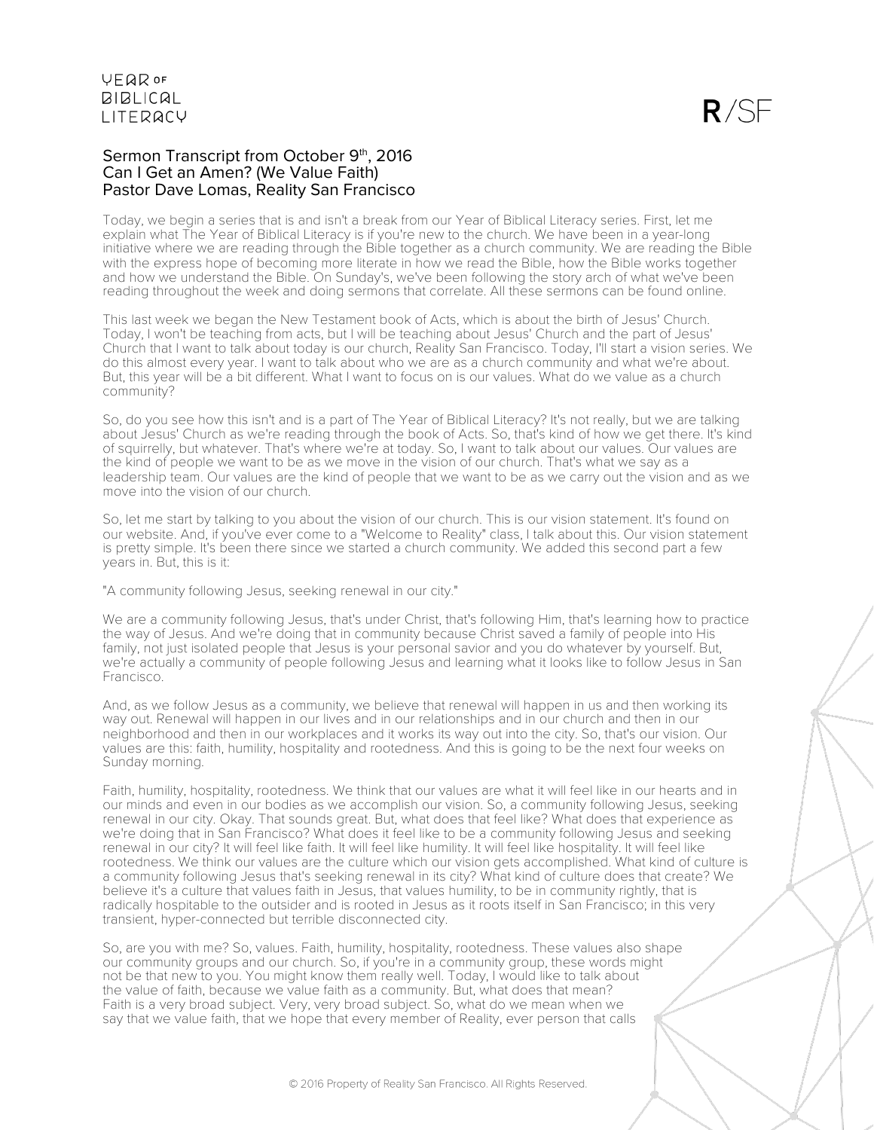## Sermon Transcript from October 9th, 2016 Can I Get an Amen? (We Value Faith) Pastor Dave Lomas, Reality San Francisco

Today, we begin a series that is and isn't a break from our Year of Biblical Literacy series. First, let me explain what The Year of Biblical Literacy is if you're new to the church. We have been in a year-long initiative where we are reading through the Bible together as a church community. We are reading the Bible with the express hope of becoming more literate in how we read the Bible, how the Bible works together and how we understand the Bible. On Sunday's, we've been following the story arch of what we've been reading throughout the week and doing sermons that correlate. All these sermons can be found online.

This last week we began the New Testament book of Acts, which is about the birth of Jesus' Church. Today, I won't be teaching from acts, but I will be teaching about Jesus' Church and the part of Jesus' Church that I want to talk about today is our church, Reality San Francisco. Today, I'll start a vision series. We do this almost every year. I want to talk about who we are as a church community and what we're about. But, this year will be a bit different. What I want to focus on is our values. What do we value as a church community?

So, do you see how this isn't and is a part of The Year of Biblical Literacy? It's not really, but we are talking about Jesus' Church as we're reading through the book of Acts. So, that's kind of how we get there. It's kind of squirrelly, but whatever. That's where we're at today. So, I want to talk about our values. Our values are the kind of people we want to be as we move in the vision of our church. That's what we say as a leadership team. Our values are the kind of people that we want to be as we carry out the vision and as we move into the vision of our church.

So, let me start by talking to you about the vision of our church. This is our vision statement. It's found on our website. And, if you've ever come to a "Welcome to Reality" class, I talk about this. Our vision statement is pretty simple. It's been there since we started a church community. We added this second part a few years in. But, this is it:

"A community following Jesus, seeking renewal in our city."

We are a community following Jesus, that's under Christ, that's following Him, that's learning how to practice the way of Jesus. And we're doing that in community because Christ saved a family of people into His family, not just isolated people that Jesus is your personal savior and you do whatever by yourself. But, we're actually a community of people following Jesus and learning what it looks like to follow Jesus in San Francisco.

And, as we follow Jesus as a community, we believe that renewal will happen in us and then working its way out. Renewal will happen in our lives and in our relationships and in our church and then in our neighborhood and then in our workplaces and it works its way out into the city. So, that's our vision. Our values are this: faith, humility, hospitality and rootedness. And this is going to be the next four weeks on Sunday morning.

Faith, humility, hospitality, rootedness. We think that our values are what it will feel like in our hearts and in our minds and even in our bodies as we accomplish our vision. So, a community following Jesus, seeking renewal in our city. Okay. That sounds great. But, what does that feel like? What does that experience as we're doing that in San Francisco? What does it feel like to be a community following Jesus and seeking renewal in our city? It will feel like faith. It will feel like humility. It will feel like hospitality. It will feel like rootedness. We think our values are the culture which our vision gets accomplished. What kind of culture is a community following Jesus that's seeking renewal in its city? What kind of culture does that create? We believe it's a culture that values faith in Jesus, that values humility, to be in community rightly, that is radically hospitable to the outsider and is rooted in Jesus as it roots itself in San Francisco; in this very transient, hyper-connected but terrible disconnected city.

So, are you with me? So, values. Faith, humility, hospitality, rootedness. These values also shape our community groups and our church. So, if you're in a community group, these words might not be that new to you. You might know them really well. Today, I would like to talk about the value of faith, because we value faith as a community. But, what does that mean? Faith is a very broad subject. Very, very broad subject. So, what do we mean when we say that we value faith, that we hope that every member of Reality, ever person that calls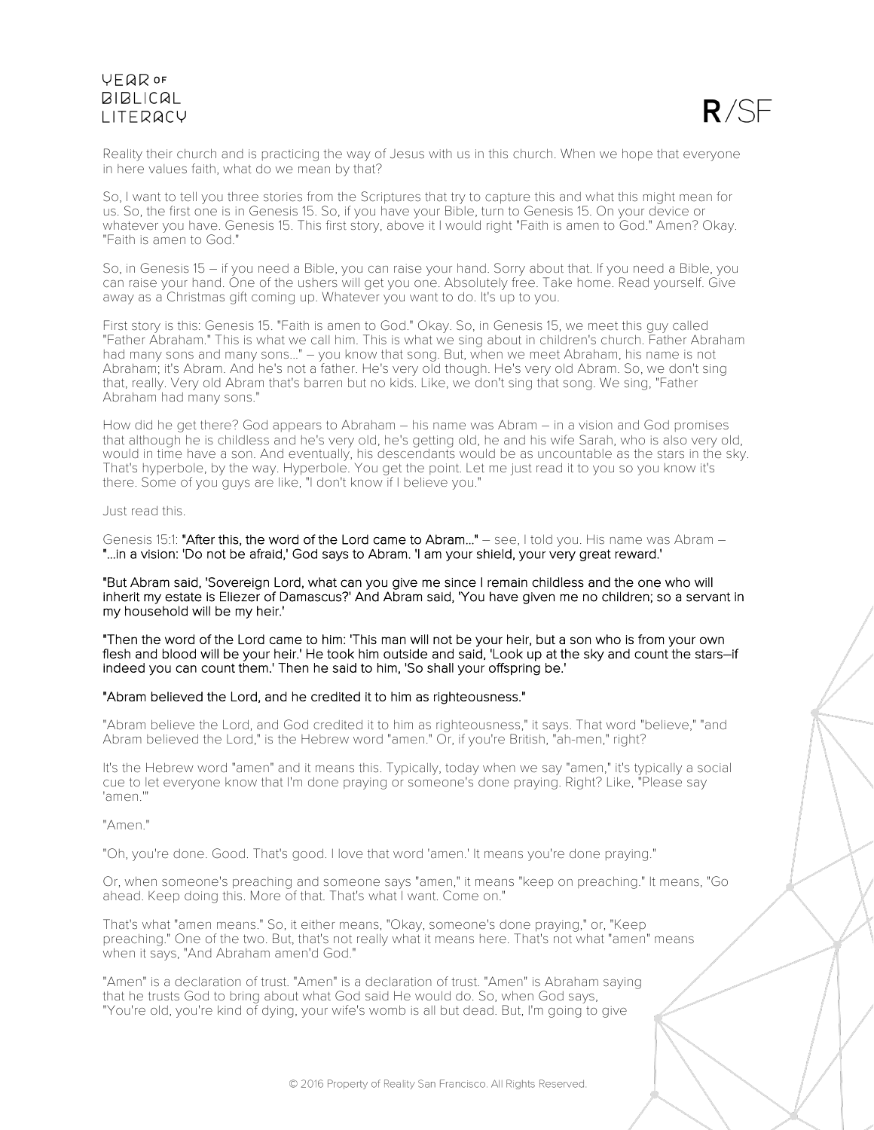

Reality their church and is practicing the way of Jesus with us in this church. When we hope that everyone in here values faith, what do we mean by that?

So, I want to tell you three stories from the Scriptures that try to capture this and what this might mean for us. So, the first one is in Genesis 15. So, if you have your Bible, turn to Genesis 15. On your device or whatever you have. Genesis 15. This first story, above it I would right "Faith is amen to God." Amen? Okay. "Faith is amen to God."

So, in Genesis 15 – if you need a Bible, you can raise your hand. Sorry about that. If you need a Bible, you can raise your hand. One of the ushers will get you one. Absolutely free. Take home. Read yourself. Give away as a Christmas gift coming up. Whatever you want to do. It's up to you.

First story is this: Genesis 15. "Faith is amen to God." Okay. So, in Genesis 15, we meet this guy called "Father Abraham." This is what we call him. This is what we sing about in children's church. Father Abraham had many sons and many sons..." – you know that song. But, when we meet Abraham, his name is not Abraham; it's Abram. And he's not a father. He's very old though. He's very old Abram. So, we don't sing that, really. Very old Abram that's barren but no kids. Like, we don't sing that song. We sing, "Father Abraham had many sons."

How did he get there? God appears to Abraham – his name was Abram – in a vision and God promises that although he is childless and he's very old, he's getting old, he and his wife Sarah, who is also very old, would in time have a son. And eventually, his descendants would be as uncountable as the stars in the sky. That's hyperbole, by the way. Hyperbole. You get the point. Let me just read it to you so you know it's there. Some of you guys are like, "I don't know if I believe you."

Just read this.

Genesis 15:1: "After this, the word of the Lord came to Abram..." – see, I told you. His name was Abram – "...in a vision: 'Do not be afraid,' God says to Abram. 'I am your shield, your very great reward.'

"But Abram said, 'Sovereign Lord, what can you give me since I remain childless and the one who will inherit my estate is Eliezer of Damascus?' And Abram said, 'You have given me no children; so a servant in my household will be my heir.'

"Then the word of the Lord came to him: 'This man will not be your heir, but a son who is from your own flesh and blood will be your heir.' He took him outside and said, 'Look up at the sky and count the stars–if indeed you can count them.' Then he said to him, 'So shall your offspring be.'

## "Abram believed the Lord, and he credited it to him as righteousness."

"Abram believe the Lord, and God credited it to him as righteousness," it says. That word "believe," "and Abram believed the Lord," is the Hebrew word "amen." Or, if you're British, "ah-men," right?

It's the Hebrew word "amen" and it means this. Typically, today when we say "amen," it's typically a social cue to let everyone know that I'm done praying or someone's done praying. Right? Like, "Please say 'amen.'"

"Amen."

"Oh, you're done. Good. That's good. I love that word 'amen.' It means you're done praying."

Or, when someone's preaching and someone says "amen," it means "keep on preaching." It means, "Go ahead. Keep doing this. More of that. That's what I want. Come on."

That's what "amen means." So, it either means, "Okay, someone's done praying," or, "Keep preaching." One of the two. But, that's not really what it means here. That's not what "amen" means when it says, "And Abraham amen'd God."

"Amen" is a declaration of trust. "Amen" is a declaration of trust. "Amen" is Abraham saying that he trusts God to bring about what God said He would do. So, when God says, "You're old, you're kind of dying, your wife's womb is all but dead. But, I'm going to give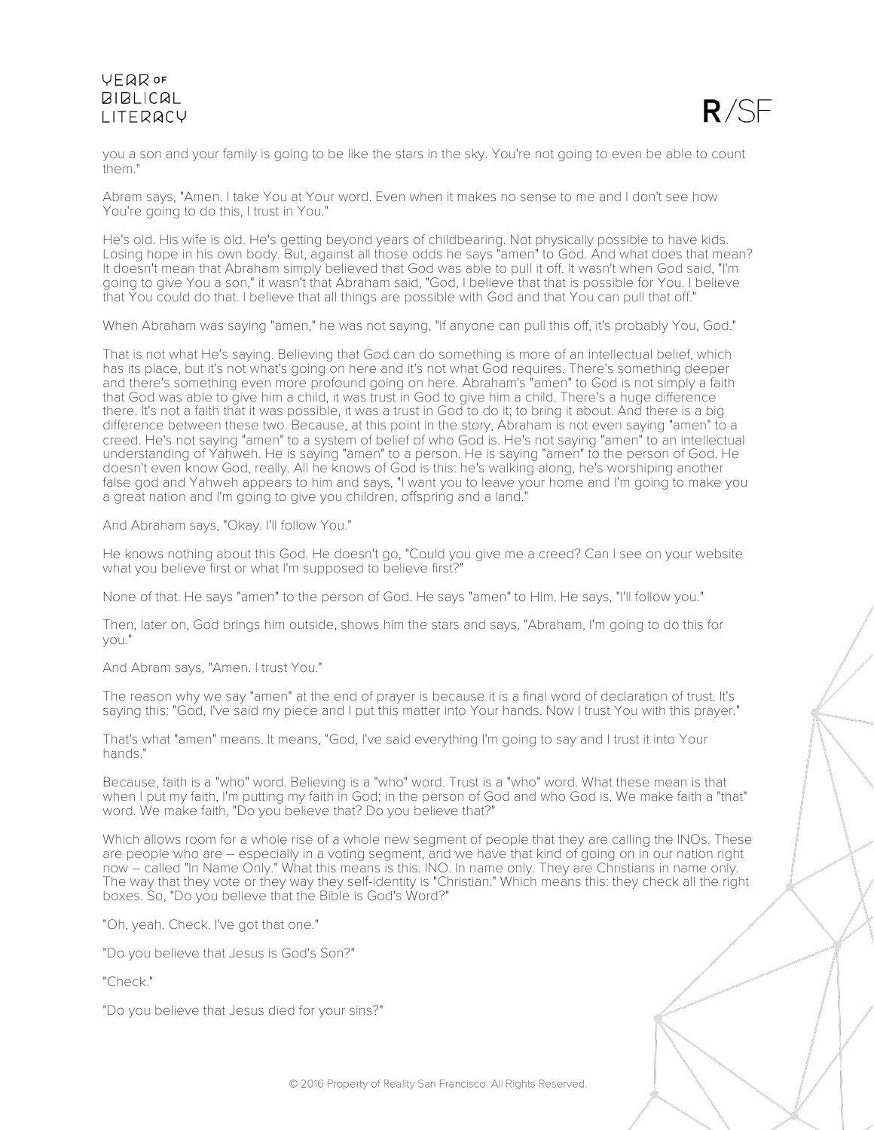

you a son and your family is going to be like the stars in the sky. You're not going to even be able to count them."

Abram says, "Amen. I take You at Your word. Even when it makes no sense to me and I don't see how You're going to do this, I trust in You."

He's old. His wife is old. He's getting beyond years of childbearing. Not physically possible to have kids. Losing hope in his own body. But, against all those odds he says "amen" to God. And what does that mean? It doesn't mean that Abraham simply believed that God was able to pull it off. It wasn't when God said, "I'm going to give You a son," it wasn't that Abraham said, "God, I believe that that is possible for You. I believe that You could do that. I believe that all things are possible with God and that You can pull that off."

When Abraham was saying "amen," he was not saying, "If anyone can pull this off, it's probably You, God."

That is not what He's saying. Believing that God can do something is more of an intellectual belief, which has its place, but it's not what's going on here and it's not what God requires. There's something deeper and there's something even more profound going on here. Abraham's "amen" to God is not simply a faith that God was able to give him a child, it was trust in God to give him a child. There's a huge difference there. It's not a faith that it was possible, it was a trust in God to do it; to bring it about. And there is a big difference between these two. Because, at this point in the story, Abraham is not even saying "amen" to a creed. He's not saying "amen" to a system of belief of who God is. He's not saying "amen" to an intellectual understanding of Yahweh. He is saying "amen" to a person. He is saying "amen" to the person of God. He doesn't even know God, really. All he knows of God is this: he's walking along, he's worshiping another false god and Yahweh appears to him and says, "I want you to leave your home and I'm going to make you a great nation and I'm going to give you children, offspring and a land."

And Abraham says, "Okay. I'll follow You."

He knows nothing about this God. He doesn't go, "Could you give me a creed? Can I see on your website what you believe first or what I'm supposed to believe first?"

None of that. He says "amen" to the person of God. He says "amen" to Him. He says, "I'll follow you."

Then, later on, God brings him outside, shows him the stars and says, "Abraham, I'm going to do this for you."

And Abram says, "Amen. I trust You."

The reason why we say "amen" at the end of prayer is because it is a final word of declaration of trust. It's saying this: "God, I've said my piece and I put this matter into Your hands. Now I trust You with this prayer."

That's what "amen" means. It means, "God, I've said everything I'm going to say and I trust it into Your hands."

Because, faith is a "who" word. Believing is a "who" word. Trust is a "who" word. What these mean is that when I put my faith, I'm putting my faith in God; in the person of God and who God is. We make faith a "that" word. We make faith, "Do you believe that? Do you believe that?"

Which allows room for a whole rise of a whole new segment of people that they are calling the INOs. These are people who are – especially in a voting segment, and we have that kind of going on in our nation right now – called "In Name Only." What this means is this. INO. In name only. They are Christians in name only. The way that they vote or they way they self-identity is "Christian." Which means this: they check all the right boxes. So, "Do you believe that the Bible is God's Word?"

"Oh, yeah. Check. I've got that one."

"Do you believe that Jesus is God's Son?"

"Check."

"Do you believe that Jesus died for your sins?"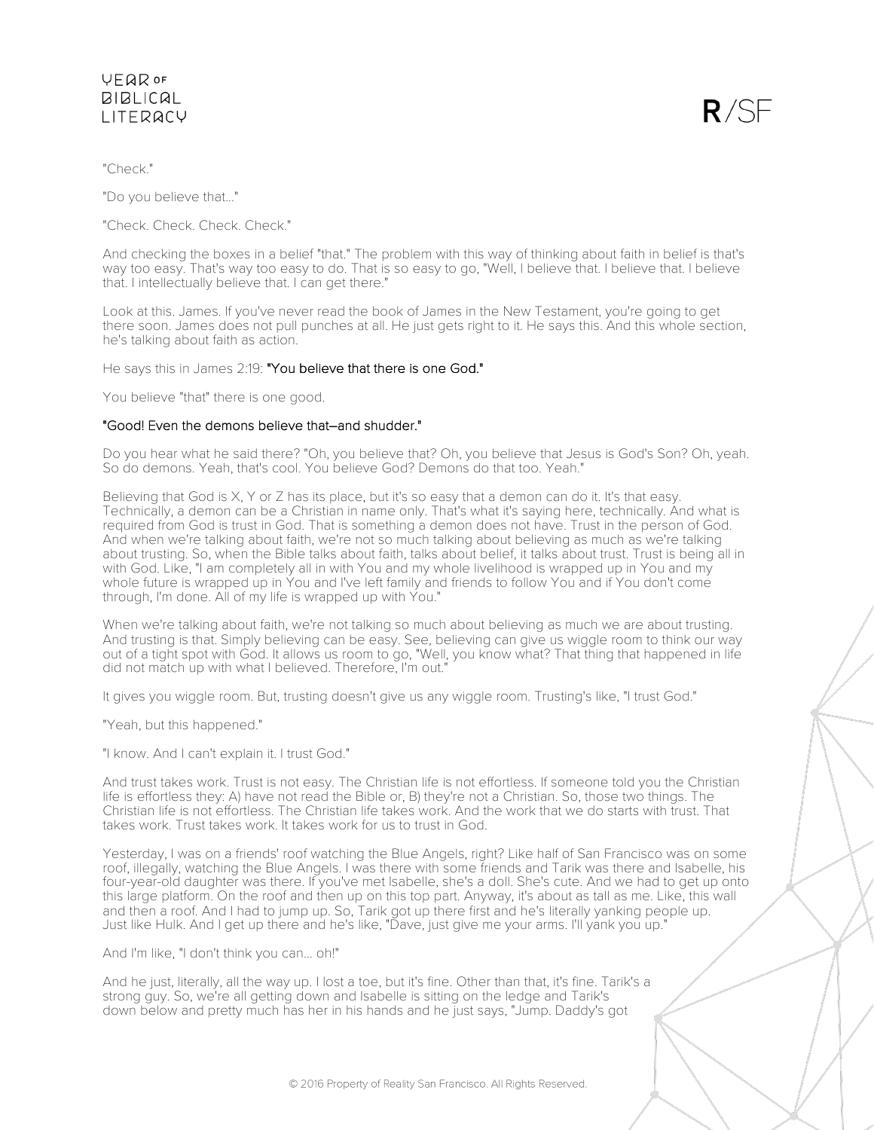

"Check."

"Do you believe that..."

"Check. Check. Check. Check."

And checking the boxes in a belief "that." The problem with this way of thinking about faith in belief is that's way too easy. That's way too easy to do. That is so easy to go, "Well, I believe that. I believe that. I believe that. I intellectually believe that. I can get there."

Look at this. James. If you've never read the book of James in the New Testament, you're going to get there soon. James does not pull punches at all. He just gets right to it. He says this. And this whole section, he's talking about faith as action.

He says this in James 2:19: "You believe that there is one God."

You believe "that" there is one good.

## "Good! Even the demons believe that–and shudder."

Do you hear what he said there? "Oh, you believe that? Oh, you believe that Jesus is God's Son? Oh, yeah. So do demons. Yeah, that's cool. You believe God? Demons do that too. Yeah."

Believing that God is X, Y or Z has its place, but it's so easy that a demon can do it. It's that easy. Technically, a demon can be a Christian in name only. That's what it's saying here, technically. And what is required from God is trust in God. That is something a demon does not have. Trust in the person of God. And when we're talking about faith, we're not so much talking about believing as much as we're talking about trusting. So, when the Bible talks about faith, talks about belief, it talks about trust. Trust is being all in with God. Like, "I am completely all in with You and my whole livelihood is wrapped up in You and my whole future is wrapped up in You and I've left family and friends to follow You and if You don't come through, I'm done. All of my life is wrapped up with You."

When we're talking about faith, we're not talking so much about believing as much we are about trusting. And trusting is that. Simply believing can be easy. See, believing can give us wiggle room to think our way out of a tight spot with God. It allows us room to go, "Well, you know what? That thing that happened in life did not match up with what I believed. Therefore, I'm out."

It gives you wiggle room. But, trusting doesn't give us any wiggle room. Trusting's like, "I trust God."

"Yeah, but this happened."

"I know. And I can't explain it. I trust God."

And trust takes work. Trust is not easy. The Christian life is not effortless. If someone told you the Christian life is effortless they: A) have not read the Bible or, B) they're not a Christian. So, those two things. The Christian life is not effortless. The Christian life takes work. And the work that we do starts with trust. That takes work. Trust takes work. It takes work for us to trust in God.

Yesterday, I was on a friends' roof watching the Blue Angels, right? Like half of San Francisco was on some roof, illegally, watching the Blue Angels. I was there with some friends and Tarik was there and Isabelle, his four-year-old daughter was there. If you've met Isabelle, she's a doll. She's cute. And we had to get up onto this large platform. On the roof and then up on this top part. Anyway, it's about as tall as me. Like, this wall and then a roof. And I had to jump up. So, Tarik got up there first and he's literally yanking people up. Just like Hulk. And I get up there and he's like, "Dave, just give me your arms. I'll yank you up."

And I'm like, "I don't think you can... oh!"

And he just, literally, all the way up. I lost a toe, but it's fine. Other than that, it's fine. Tarik's a strong guy. So, we're all getting down and Isabelle is sitting on the ledge and Tarik's down below and pretty much has her in his hands and he just says, "Jump. Daddy's got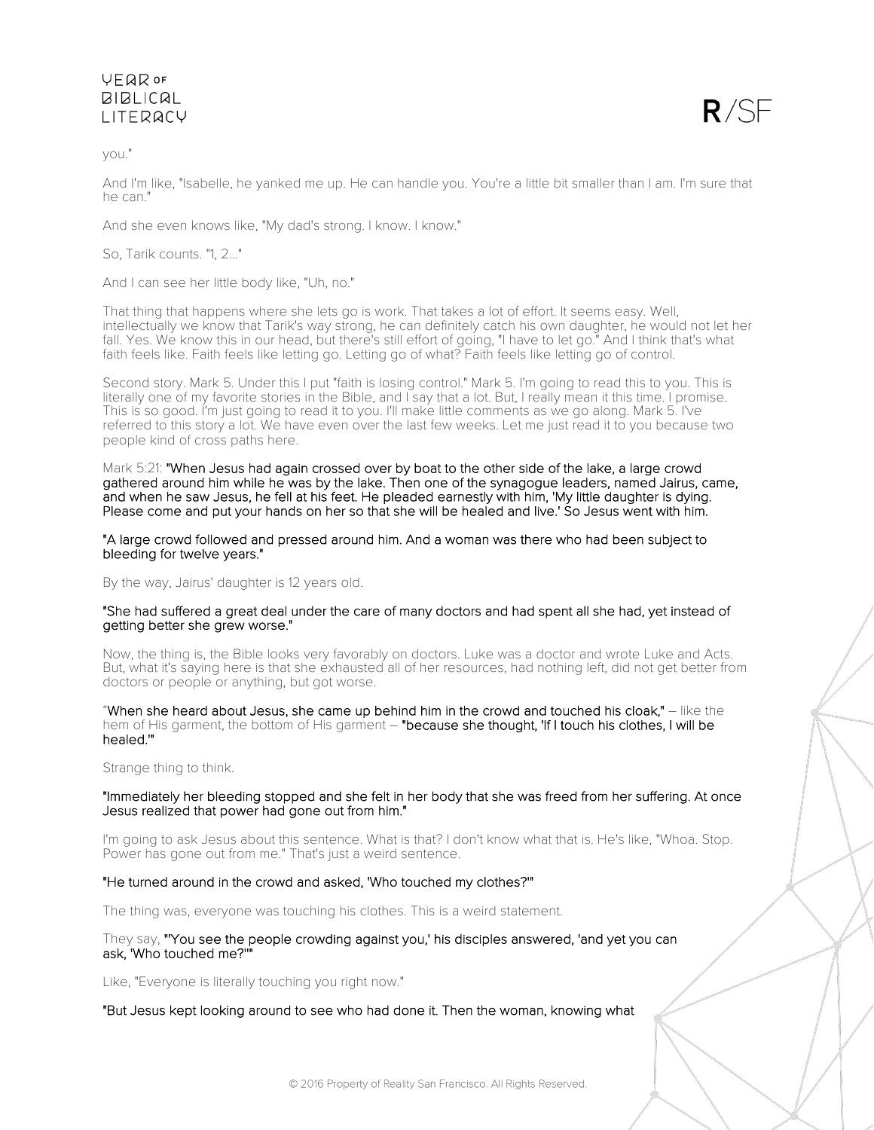you."

 $R/SF$ 

And I'm like, "Isabelle, he yanked me up. He can handle you. You're a little bit smaller than I am. I'm sure that he can."

And she even knows like, "My dad's strong. I know. I know."

So, Tarik counts. "1, 2..."

And I can see her little body like, "Uh, no."

That thing that happens where she lets go is work. That takes a lot of effort. It seems easy. Well, intellectually we know that Tarik's way strong, he can definitely catch his own daughter, he would not let her fall. Yes. We know this in our head, but there's still effort of going, "I have to let go." And I think that's what faith feels like. Faith feels like letting go. Letting go of what? Faith feels like letting go of control.

Second story. Mark 5. Under this I put "faith is losing control." Mark 5. I'm going to read this to you. This is literally one of my favorite stories in the Bible, and I say that a lot. But, I really mean it this time. I promise. This is so good. I'm just going to read it to you. I'll make little comments as we go along. Mark 5. I've referred to this story a lot. We have even over the last few weeks. Let me just read it to you because two people kind of cross paths here.

Mark 5:21: "When Jesus had again crossed over by boat to the other side of the lake, a large crowd gathered around him while he was by the lake. Then one of the synagogue leaders, named Jairus, came, and when he saw Jesus, he fell at his feet. He pleaded earnestly with him, 'My little daughter is dying. Please come and put your hands on her so that she will be healed and live.' So Jesus went with him.

"A large crowd followed and pressed around him. And a woman was there who had been subject to bleeding for twelve years."

By the way, Jairus' daughter is 12 years old.

#### "She had suffered a great deal under the care of many doctors and had spent all she had, yet instead of getting better she grew worse."

Now, the thing is, the Bible looks very favorably on doctors. Luke was a doctor and wrote Luke and Acts. But, what it's saying here is that she exhausted all of her resources, had nothing left, did not get better from doctors or people or anything, but got worse.

"When she heard about Jesus, she came up behind him in the crowd and touched his cloak,"  $-$  like the hem of His garment, the bottom of His garment – "because she thought, 'If I touch his clothes, I will be healed.'"

Strange thing to think.

## "Immediately her bleeding stopped and she felt in her body that she was freed from her suffering. At once Jesus realized that power had gone out from him."

I'm going to ask Jesus about this sentence. What is that? I don't know what that is. He's like, "Whoa. Stop. Power has gone out from me." That's just a weird sentence.

## "He turned around in the crowd and asked, 'Who touched my clothes?'"

The thing was, everyone was touching his clothes. This is a weird statement.

## They say, "'You see the people crowding against you,' his disciples answered, 'and yet you can ask, 'Who touched me?''"

Like, "Everyone is literally touching you right now."

## "But Jesus kept looking around to see who had done it. Then the woman, knowing what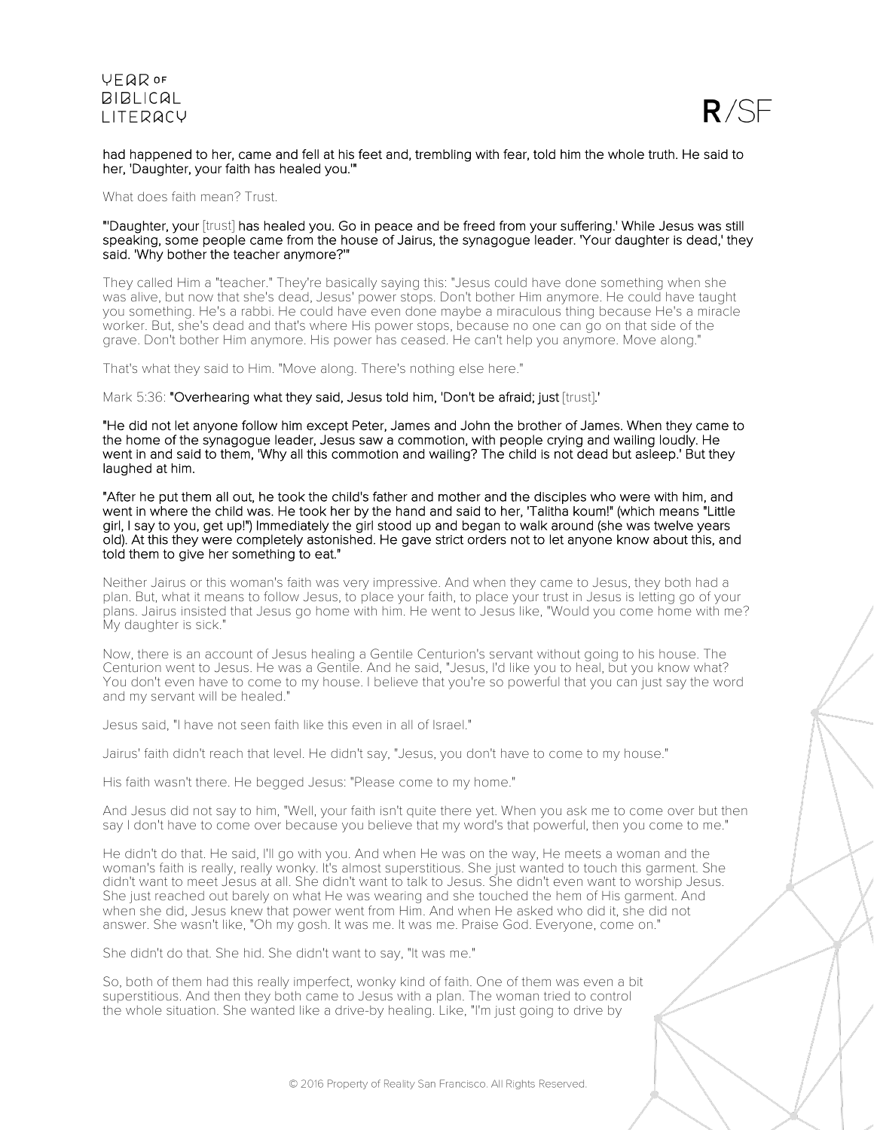

#### had happened to her, came and fell at his feet and, trembling with fear, told him the whole truth. He said to her, 'Daughter, your faith has healed you.'"

What does faith mean? Trust.

#### "'Daughter, your [trust] has healed you. Go in peace and be freed from your suffering.' While Jesus was still speaking, some people came from the house of Jairus, the synagogue leader. 'Your daughter is dead,' they said. 'Why bother the teacher anymore?'"

They called Him a "teacher." They're basically saying this: "Jesus could have done something when she was alive, but now that she's dead, Jesus' power stops. Don't bother Him anymore. He could have taught you something. He's a rabbi. He could have even done maybe a miraculous thing because He's a miracle worker. But, she's dead and that's where His power stops, because no one can go on that side of the grave. Don't bother Him anymore. His power has ceased. He can't help you anymore. Move along."

That's what they said to Him. "Move along. There's nothing else here."

### Mark 5:36: "Overhearing what they said, Jesus told him, 'Don't be afraid; just [trust].'

"He did not let anyone follow him except Peter, James and John the brother of James. When they came to the home of the synagogue leader, Jesus saw a commotion, with people crying and wailing loudly. He went in and said to them, 'Why all this commotion and wailing? The child is not dead but asleep.' But they laughed at him.

"After he put them all out, he took the child's father and mother and the disciples who were with him, and went in where the child was. He took her by the hand and said to her, 'Talitha koum!" (which means "Little girl, I say to you, get up!") Immediately the girl stood up and began to walk around (she was twelve years old). At this they were completely astonished. He gave strict orders not to let anyone know about this, and told them to give her something to eat."

Neither Jairus or this woman's faith was very impressive. And when they came to Jesus, they both had a plan. But, what it means to follow Jesus, to place your faith, to place your trust in Jesus is letting go of your plans. Jairus insisted that Jesus go home with him. He went to Jesus like, "Would you come home with me? My daughter is sick."

Now, there is an account of Jesus healing a Gentile Centurion's servant without going to his house. The Centurion went to Jesus. He was a Gentile. And he said, "Jesus, I'd like you to heal, but you know what? You don't even have to come to my house. I believe that you're so powerful that you can just say the word and my servant will be healed."

Jesus said, "I have not seen faith like this even in all of Israel."

Jairus' faith didn't reach that level. He didn't say, "Jesus, you don't have to come to my house."

His faith wasn't there. He begged Jesus: "Please come to my home."

And Jesus did not say to him, "Well, your faith isn't quite there yet. When you ask me to come over but then say I don't have to come over because you believe that my word's that powerful, then you come to me."

He didn't do that. He said, I'll go with you. And when He was on the way, He meets a woman and the woman's faith is really, really wonky. It's almost superstitious. She just wanted to touch this garment. She didn't want to meet Jesus at all. She didn't want to talk to Jesus. She didn't even want to worship Jesus. She just reached out barely on what He was wearing and she touched the hem of His garment. And when she did, Jesus knew that power went from Him. And when He asked who did it, she did not answer. She wasn't like, "Oh my gosh. It was me. It was me. Praise God. Everyone, come on."

She didn't do that. She hid. She didn't want to say, "It was me."

So, both of them had this really imperfect, wonky kind of faith. One of them was even a bit superstitious. And then they both came to Jesus with a plan. The woman tried to control the whole situation. She wanted like a drive-by healing. Like, "I'm just going to drive by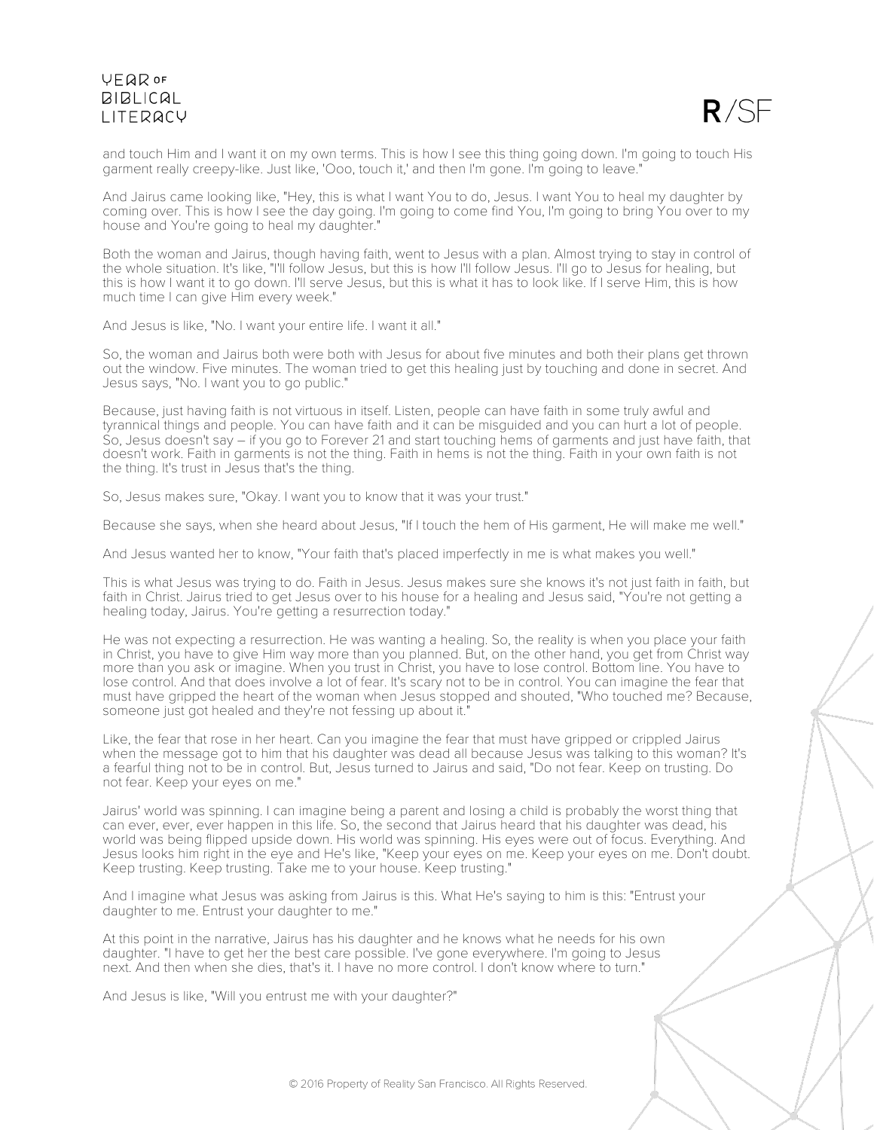

and touch Him and I want it on my own terms. This is how I see this thing going down. I'm going to touch His garment really creepy-like. Just like, 'Ooo, touch it,' and then I'm gone. I'm going to leave."

And Jairus came looking like, "Hey, this is what I want You to do, Jesus. I want You to heal my daughter by coming over. This is how I see the day going. I'm going to come find You, I'm going to bring You over to my house and You're going to heal my daughter."

Both the woman and Jairus, though having faith, went to Jesus with a plan. Almost trying to stay in control of the whole situation. It's like, "I'll follow Jesus, but this is how I'll follow Jesus. I'll go to Jesus for healing, but this is how I want it to go down. I'll serve Jesus, but this is what it has to look like. If I serve Him, this is how much time I can give Him every week."

And Jesus is like, "No. I want your entire life. I want it all."

So, the woman and Jairus both were both with Jesus for about five minutes and both their plans get thrown out the window. Five minutes. The woman tried to get this healing just by touching and done in secret. And Jesus says, "No. I want you to go public."

Because, just having faith is not virtuous in itself. Listen, people can have faith in some truly awful and tyrannical things and people. You can have faith and it can be misguided and you can hurt a lot of people. So, Jesus doesn't say – if you go to Forever 21 and start touching hems of garments and just have faith, that doesn't work. Faith in garments is not the thing. Faith in hems is not the thing. Faith in your own faith is not the thing. It's trust in Jesus that's the thing.

So, Jesus makes sure, "Okay. I want you to know that it was your trust."

Because she says, when she heard about Jesus, "If I touch the hem of His garment, He will make me well."

And Jesus wanted her to know, "Your faith that's placed imperfectly in me is what makes you well."

This is what Jesus was trying to do. Faith in Jesus. Jesus makes sure she knows it's not just faith in faith, but faith in Christ. Jairus tried to get Jesus over to his house for a healing and Jesus said, "You're not getting a healing today, Jairus. You're getting a resurrection today."

He was not expecting a resurrection. He was wanting a healing. So, the reality is when you place your faith in Christ, you have to give Him way more than you planned. But, on the other hand, you get from Christ way more than you ask or imagine. When you trust in Christ, you have to lose control. Bottom line. You have to lose control. And that does involve a lot of fear. It's scary not to be in control. You can imagine the fear that must have gripped the heart of the woman when Jesus stopped and shouted, "Who touched me? Because, someone just got healed and they're not fessing up about it."

Like, the fear that rose in her heart. Can you imagine the fear that must have gripped or crippled Jairus when the message got to him that his daughter was dead all because Jesus was talking to this woman? It's a fearful thing not to be in control. But, Jesus turned to Jairus and said, "Do not fear. Keep on trusting. Do not fear. Keep your eyes on me."

Jairus' world was spinning. I can imagine being a parent and losing a child is probably the worst thing that can ever, ever, ever happen in this life. So, the second that Jairus heard that his daughter was dead, his world was being flipped upside down. His world was spinning. His eyes were out of focus. Everything. And Jesus looks him right in the eye and He's like, "Keep your eyes on me. Keep your eyes on me. Don't doubt. Keep trusting. Keep trusting. Take me to your house. Keep trusting."

And I imagine what Jesus was asking from Jairus is this. What He's saying to him is this: "Entrust your daughter to me. Entrust your daughter to me."

At this point in the narrative, Jairus has his daughter and he knows what he needs for his own daughter. "I have to get her the best care possible. I've gone everywhere. I'm going to Jesus next. And then when she dies, that's it. I have no more control. I don't know where to turn."

And Jesus is like, "Will you entrust me with your daughter?"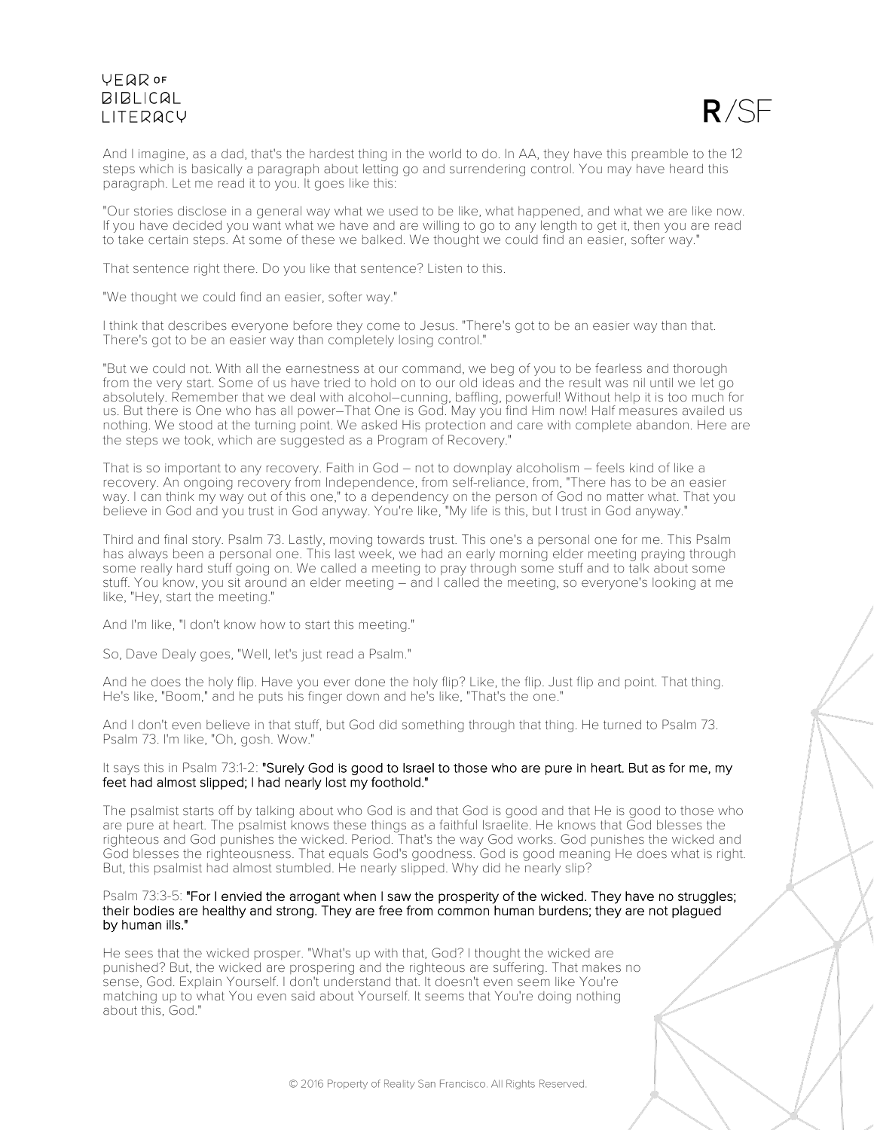

And I imagine, as a dad, that's the hardest thing in the world to do. In AA, they have this preamble to the 12 steps which is basically a paragraph about letting go and surrendering control. You may have heard this paragraph. Let me read it to you. It goes like this:

"Our stories disclose in a general way what we used to be like, what happened, and what we are like now. If you have decided you want what we have and are willing to go to any length to get it, then you are read to take certain steps. At some of these we balked. We thought we could find an easier, softer way."

That sentence right there. Do you like that sentence? Listen to this.

"We thought we could find an easier, softer way."

I think that describes everyone before they come to Jesus. "There's got to be an easier way than that. There's got to be an easier way than completely losing control."

"But we could not. With all the earnestness at our command, we beg of you to be fearless and thorough from the very start. Some of us have tried to hold on to our old ideas and the result was nil until we let go absolutely. Remember that we deal with alcohol–cunning, baffling, powerful! Without help it is too much for us. But there is One who has all power–That One is God. May you find Him now! Half measures availed us nothing. We stood at the turning point. We asked His protection and care with complete abandon. Here are the steps we took, which are suggested as a Program of Recovery."

That is so important to any recovery. Faith in God – not to downplay alcoholism – feels kind of like a recovery. An ongoing recovery from Independence, from self-reliance, from, "There has to be an easier way. I can think my way out of this one," to a dependency on the person of God no matter what. That you believe in God and you trust in God anyway. You're like, "My life is this, but I trust in God anyway."

Third and final story. Psalm 73. Lastly, moving towards trust. This one's a personal one for me. This Psalm has always been a personal one. This last week, we had an early morning elder meeting praying through some really hard stuff going on. We called a meeting to pray through some stuff and to talk about some stuff. You know, you sit around an elder meeting – and I called the meeting, so everyone's looking at me like, "Hey, start the meeting."

And I'm like, "I don't know how to start this meeting."

So, Dave Dealy goes, "Well, let's just read a Psalm."

And he does the holy flip. Have you ever done the holy flip? Like, the flip. Just flip and point. That thing. He's like, "Boom," and he puts his finger down and he's like, "That's the one."

And I don't even believe in that stuff, but God did something through that thing. He turned to Psalm 73. Psalm 73. I'm like, "Oh, gosh. Wow."

## It says this in Psalm 73:1-2: "Surely God is good to Israel to those who are pure in heart. But as for me, my feet had almost slipped; I had nearly lost my foothold."

The psalmist starts off by talking about who God is and that God is good and that He is good to those who are pure at heart. The psalmist knows these things as a faithful Israelite. He knows that God blesses the righteous and God punishes the wicked. Period. That's the way God works. God punishes the wicked and God blesses the righteousness. That equals God's goodness. God is good meaning He does what is right. But, this psalmist had almost stumbled. He nearly slipped. Why did he nearly slip?

#### Psalm 73:3-5: "For I envied the arrogant when I saw the prosperity of the wicked. They have no struggles; their bodies are healthy and strong. They are free from common human burdens; they are not plagued by human ills."

He sees that the wicked prosper. "What's up with that, God? I thought the wicked are punished? But, the wicked are prospering and the righteous are suffering. That makes no sense, God. Explain Yourself. I don't understand that. It doesn't even seem like You're matching up to what You even said about Yourself. It seems that You're doing nothing about this, God."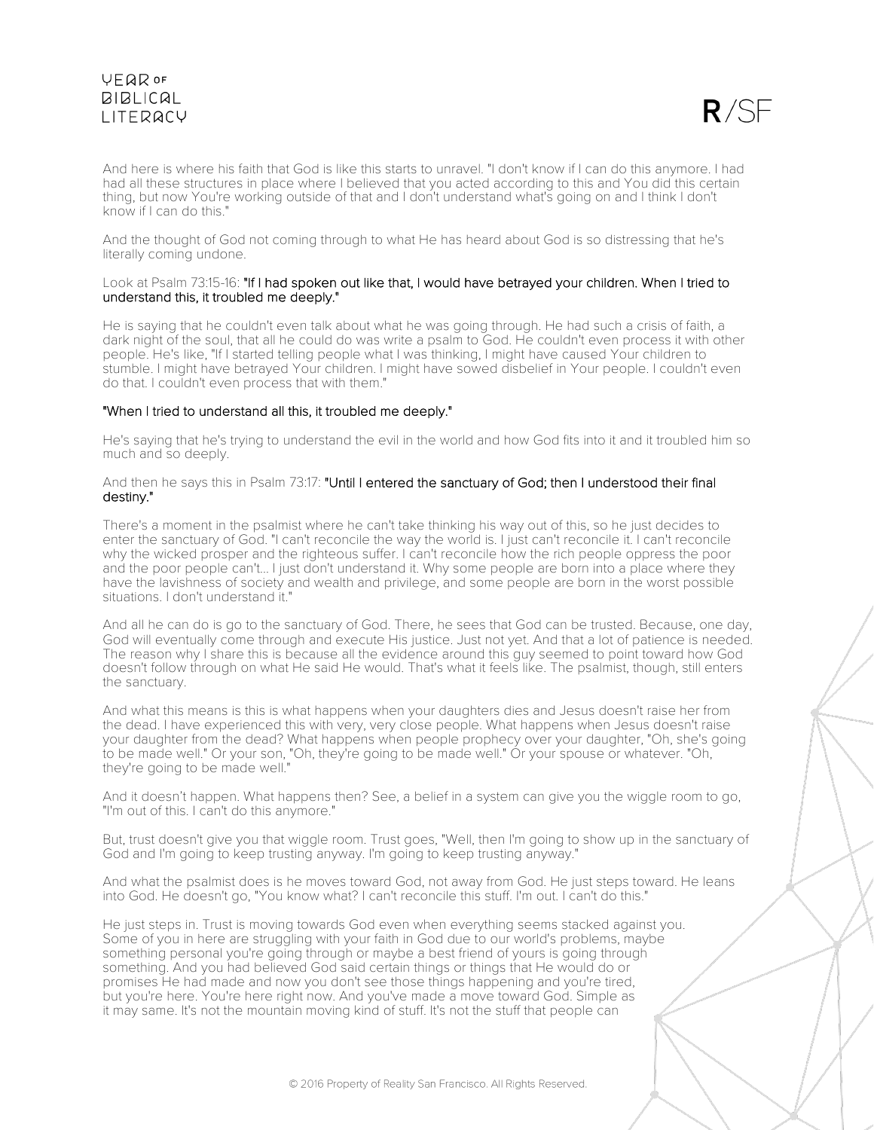

And here is where his faith that God is like this starts to unravel. "I don't know if I can do this anymore. I had had all these structures in place where I believed that you acted according to this and You did this certain thing, but now You're working outside of that and I don't understand what's going on and I think I don't know if I can do this."

And the thought of God not coming through to what He has heard about God is so distressing that he's literally coming undone.

#### Look at Psalm 73:15-16: "If I had spoken out like that, I would have betrayed your children. When I tried to understand this, it troubled me deeply."

He is saying that he couldn't even talk about what he was going through. He had such a crisis of faith, a dark night of the soul, that all he could do was write a psalm to God. He couldn't even process it with other people. He's like, "If I started telling people what I was thinking, I might have caused Your children to stumble. I might have betrayed Your children. I might have sowed disbelief in Your people. I couldn't even do that. I couldn't even process that with them."

## "When I tried to understand all this, it troubled me deeply."

He's saying that he's trying to understand the evil in the world and how God fits into it and it troubled him so much and so deeply.

### And then he says this in Psalm 73:17: "Until I entered the sanctuary of God; then I understood their final destiny."

There's a moment in the psalmist where he can't take thinking his way out of this, so he just decides to enter the sanctuary of God. "I can't reconcile the way the world is. I just can't reconcile it. I can't reconcile why the wicked prosper and the righteous suffer. I can't reconcile how the rich people oppress the poor and the poor people can't... I just don't understand it. Why some people are born into a place where they have the lavishness of society and wealth and privilege, and some people are born in the worst possible situations. I don't understand it."

And all he can do is go to the sanctuary of God. There, he sees that God can be trusted. Because, one day, God will eventually come through and execute His justice. Just not yet. And that a lot of patience is needed. The reason why I share this is because all the evidence around this guy seemed to point toward how God doesn't follow through on what He said He would. That's what it feels like. The psalmist, though, still enters the sanctuary.

And what this means is this is what happens when your daughters dies and Jesus doesn't raise her from the dead. I have experienced this with very, very close people. What happens when Jesus doesn't raise your daughter from the dead? What happens when people prophecy over your daughter, "Oh, she's going to be made well." Or your son, "Oh, they're going to be made well." Or your spouse or whatever. "Oh, they're going to be made well."

And it doesn't happen. What happens then? See, a belief in a system can give you the wiggle room to go, "I'm out of this. I can't do this anymore."

But, trust doesn't give you that wiggle room. Trust goes, "Well, then I'm going to show up in the sanctuary of God and I'm going to keep trusting anyway. I'm going to keep trusting anyway."

And what the psalmist does is he moves toward God, not away from God. He just steps toward. He leans into God. He doesn't go, "You know what? I can't reconcile this stuff. I'm out. I can't do this."

He just steps in. Trust is moving towards God even when everything seems stacked against you. Some of you in here are struggling with your faith in God due to our world's problems, maybe something personal you're going through or maybe a best friend of yours is going through something. And you had believed God said certain things or things that He would do or promises He had made and now you don't see those things happening and you're tired, but you're here. You're here right now. And you've made a move toward God. Simple as it may same. It's not the mountain moving kind of stuff. It's not the stuff that people can